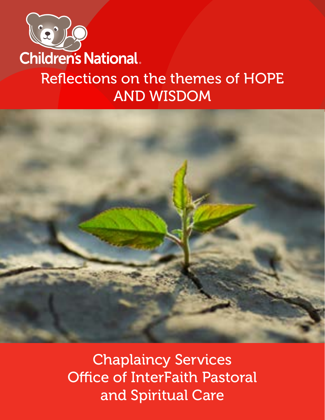

## Reflections on the themes of HOPE AND WISDOM



Chaplaincy Services Office of InterFaith Pastoral and Spiritual Care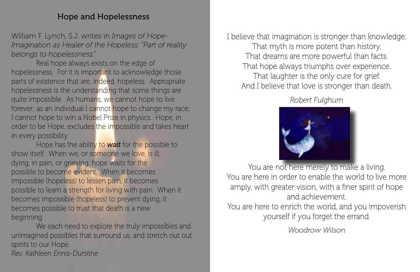#### Hope and Hopelessness

William F. Lynch, S.J. writes in *Images of Hope-Imagination as Healer of the Hopeless: "Part of reality belongs to hopelessness."* 

Real hope always exists on the edge of hopelessness. For it is important to acknowledge those parts of existence that are, indeed, hopeless. Appropriate hopelessness is the understanding that some things are quite impossible. As humans, we cannot hope to live forever; as an individual I cannot hope to change my race; I cannot hope to win a Nobel Prize in physics. Hope, in order to be Hope, excludes the impossible and takes heart in every possibility.

Hope has the ability to *wait* for the possible to show itself. When we, or someone we love, is ill, dying, in pain, or grieving, hope waits for the possible to become evident. When it becomes impossible (hopeless) to lessen pain, it becomes possible to learn a strength for living with pain. When it becomes impossible (hopeless) to prevent dying, it becomes possible to trust that death is a new beginning.

We each need to explore the truly impossibles and unimagined possibles that surround us, and stretch out out spirits to our Hope. *Rev. Kathleen Ennis-Durstine*

I believe that imagination is stronger than knowledge. That myth is more potent than history. That dreams are more powerful than facts. That hope always triumphs over experience. That laughter is the only cure for grief. And I believe that love is stronger than death.

#### *Robert Fulghum*



You are not here merely to make a living. You are here in order to enable the world to live more amply, with greater vision, with a finer spirit of hope and achievement.

You are here to enrich the world, and you impoverish yourself if you forget the errand.

*Woodrow Wilson*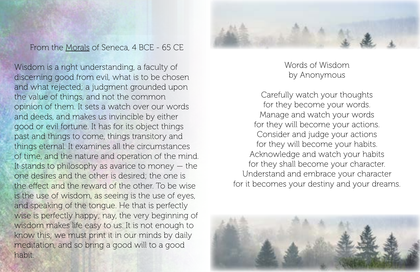From the Morals of Seneca, 4 BCE - 65 CE

Wisdom is a right understanding, a faculty of discerning good from evil, what is to be chosen and what rejected; a judgment grounded upon the value of things, and not the common opinion of them. It sets a watch over our words and deeds, and makes us invincible by either good or evil fortune. It has for its object things past and things to come, things transitory and things eternal. It examines all the circumstances of time, and the nature and operation of the mind. It stands to philosophy as avarice to money  $-$  the one desires and the other is desired; the one is the effect and the reward of the other. To be wise is the use of wisdom, as seeing is the use of eyes, and speaking of the tongue. He that is perfectly wise is perfectly happy; nay, the very beginning of wisdom makes life easy to us. It is not enough to know this; we must print it in our minds by daily meditation, and so bring a good will to a good habit.



Words of Wisdom by Anonymous

Carefully watch your thoughts for they become your words. Manage and watch your words for they will become your actions. Consider and judge your actions for they will become your habits. Acknowledge and watch your habits for they shall become your character. Understand and embrace your character for it becomes your destiny and your dreams.

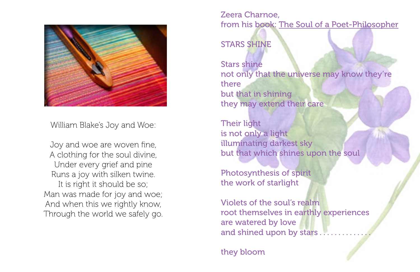

William Blake's Joy and Woe:

Joy and woe are woven fine, A clothing for the soul divine, Under every grief and pine Runs a joy with silken twine. It is right it should be so; Man was made for joy and woe; And when this we rightly know, Through the world we safely go. Zeera Charnoe, from his book: The Soul of a Poet-Philosopher

STARS SHINE

Stars shine not only that the universe may know they're there but that in shining they may extend their care

Their light is not only a light illuminating darkest sky but that which shines upon the soul

Photosynthesis of spirit the work of starlight

Violets of the soul's realm root themselves in earthly experiences are watered by love and shined upon by stars.

they bloom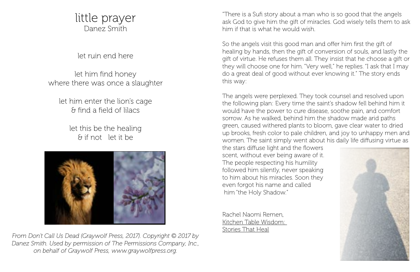### little prayer Danez Smith

let ruin end here

let him find honey where there was once a slaughter

let him enter the lion's cage & find a field of lilacs

> let this be the healing & if not let it be



*From Don't Call Us Dead (Graywolf Press, 2017). Copyright © 2017 by Danez Smith. Used by permission of The Permissions Company, Inc., on behalf of Graywolf Press, www.graywolfpress.org.*

"There is a Sufi story about a man who is so good that the angels ask God to give him the gift of miracles. God wisely tells them to ask him if that is what he would wish.

So the angels visit this good man and offer him first the gift of healing by hands, then the gift of conversion of souls, and lastly the gift of virtue. He refuses them all. They insist that he choose a gift or they will choose one for him. "Very well," he replies. "I ask that I may do a great deal of good without ever knowing it." The story ends this way:

The angels were perplexed. They took counsel and resolved upon the following plan: Every time the saint's shadow fell behind him it would have the power to cure disease, soothe pain, and comfort sorrow. As he walked, behind him the shadow made arid paths green, caused withered plants to bloom, gave clear water to dried up brooks, fresh color to pale children, and joy to unhappy men and women. The saint simply went about his daily life diffusing virtue as

the stars diffuse light and the flowers scent, without ever being aware of it. The people respecting his humility followed him silently, never speaking to him about his miracles. Soon they even forgot his name and called him "the Holy Shadow."

Rachel Naomi Remen, Kitchen Table Wisdom: Stories That Heal

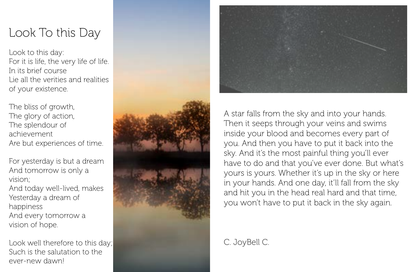# Look To this Day

Look to this day: For it is life, the very life of life. In its brief course Lie all the verities and realities of your existence.

The bliss of growth, The glory of action, The splendour of achievement Are but experiences of time.

For yesterday is but a dream And tomorrow is only a vision; And today well-lived, makes Yesterday a dream of happiness And every tomorrow a vision of hope.

Look well therefore to this day; Such is the salutation to the ever-new dawn!





A star falls from the sky and into your hands. Then it seeps through your veins and swims inside your blood and becomes every part of you. And then you have to put it back into the sky. And it's the most painful thing you'll ever have to do and that you've ever done. But what's yours is yours. Whether it's up in the sky or here in your hands. And one day, it'll fall from the sky and hit you in the head real hard and that time, you won't have to put it back in the sky again.

C. JoyBell C.